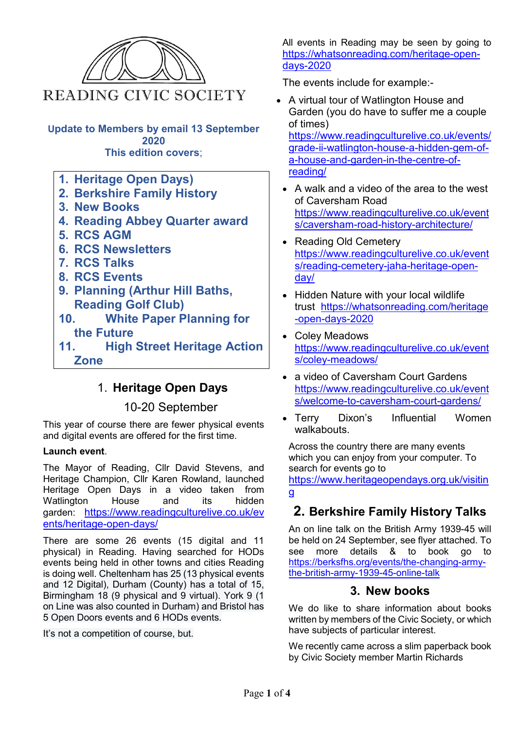

- **5. RCS AGM**
- **6. RCS Newsletters**
- **7. RCS Talks**
- **8. RCS Events**
- **9. Planning (Arthur Hill Baths, Reading Golf Club)**
- **10. White Paper Planning for the Future**

**11. High Street Heritage Action Zone**

# 1. **Heritage Open Days**

### 10-20 September

This year of course there are fewer physical events and digital events are offered for the first time.

#### **Launch event**.

The Mayor of Reading, Cllr David Stevens, and Heritage Champion, Cllr Karen Rowland, launched Heritage Open Days in a video taken from Watlington House and its garden: [https://www.readingculturelive.co.uk/ev](https://nam11.safelinks.protection.outlook.com/?url=https%3A%2F%2Fwww.readingculturelive.co.uk%2Fevents%2Fheritage-open-days%2F&data=02%7C01%7C%7C4b688c156f644de03e1608d857434925%7C84df9e7fe9f640afb435aaaaaaaaaaaa%7C1%7C0%7C637355293785684748&sdata=Im5CFtvRSfb2VdEgse2wsn8dhD3ZBalV7GNULsvIMPw%3D&reserved=0) [ents/heritage-open-days/](https://nam11.safelinks.protection.outlook.com/?url=https%3A%2F%2Fwww.readingculturelive.co.uk%2Fevents%2Fheritage-open-days%2F&data=02%7C01%7C%7C4b688c156f644de03e1608d857434925%7C84df9e7fe9f640afb435aaaaaaaaaaaa%7C1%7C0%7C637355293785684748&sdata=Im5CFtvRSfb2VdEgse2wsn8dhD3ZBalV7GNULsvIMPw%3D&reserved=0)

There are some 26 events (15 digital and 11 physical) in Reading. Having searched for HODs events being held in other towns and cities Reading is doing well. Cheltenham has 25 (13 physical events and 12 Digital), Durham (County) has a total of 15, Birmingham 18 (9 physical and 9 virtual). York 9 (1 on Line was also counted in Durham) and Bristol has 5 Open Doors events and 6 HODs events.

It's not a competition of course, but.

All events in Reading may be seen by going to [https://whatsonreading.com/heritage-open](https://whatsonreading.com/heritage-open-days-2020)[days-2020](https://whatsonreading.com/heritage-open-days-2020)

The events include for example:-

• A virtual tour of Watlington House and Garden (you do have to suffer me a couple of times) [https://www.readingculturelive.co.uk/events/](https://www.readingculturelive.co.uk/events/grade-ii-watlington-house-a-hidden-gem-of-a-house-and-garden-in-the-centre-of-reading/)

[grade-ii-watlington-house-a-hidden-gem-of](https://www.readingculturelive.co.uk/events/grade-ii-watlington-house-a-hidden-gem-of-a-house-and-garden-in-the-centre-of-reading/)[a-house-and-garden-in-the-centre-of](https://www.readingculturelive.co.uk/events/grade-ii-watlington-house-a-hidden-gem-of-a-house-and-garden-in-the-centre-of-reading/)[reading/](https://www.readingculturelive.co.uk/events/grade-ii-watlington-house-a-hidden-gem-of-a-house-and-garden-in-the-centre-of-reading/)

- A walk and a video of the area to the west of Caversham Road [https://www.readingculturelive.co.uk/event](https://www.readingculturelive.co.uk/events/caversham-road-history-architecture/) [s/caversham-road-history-architecture/](https://www.readingculturelive.co.uk/events/caversham-road-history-architecture/)
- Reading Old Cemetery [https://www.readingculturelive.co.uk/event](https://www.readingculturelive.co.uk/events/reading-cemetery-jaha-heritage-open-day/) [s/reading-cemetery-jaha-heritage-open](https://www.readingculturelive.co.uk/events/reading-cemetery-jaha-heritage-open-day/)[day/](https://www.readingculturelive.co.uk/events/reading-cemetery-jaha-heritage-open-day/)
- Hidden Nature with your local wildlife trust [https://whatsonreading.com/heritage](https://whatsonreading.com/heritage-open-days-2020) [-open-days-2020](https://whatsonreading.com/heritage-open-days-2020)
- Coley Meadows [https://www.readingculturelive.co.uk/event](https://www.readingculturelive.co.uk/events/coley-meadows/) [s/coley-meadows/](https://www.readingculturelive.co.uk/events/coley-meadows/)
- a video of Caversham Court Gardens [https://www.readingculturelive.co.uk/event](https://www.readingculturelive.co.uk/events/welcome-to-caversham-court-gardens/) [s/welcome-to-caversham-court-gardens/](https://www.readingculturelive.co.uk/events/welcome-to-caversham-court-gardens/)
- Terry Dixon's Influential Women walkabouts.

Across the country there are many events which you can enjoy from your computer. To search for events go to

[https://www.heritageopendays.org.uk/visitin](https://www.heritageopendays.org.uk/visiting) [g](https://www.heritageopendays.org.uk/visiting)

# **2. Berkshire Family History Talks**

An on line talk on the British Army 1939-45 will be held on 24 September, see flyer attached. To see more details & to book go to [https://berksfhs.org/events/the-changing-army](https://berksfhs.org/events/the-changing-army-the-british-army-1939-45-online-talk)[the-british-army-1939-45-online-talk](https://berksfhs.org/events/the-changing-army-the-british-army-1939-45-online-talk)

#### **3. New books**

We do like to share information about books written by members of the Civic Society, or which have subjects of particular interest.

We recently came across a slim paperback book by Civic Society member Martin Richards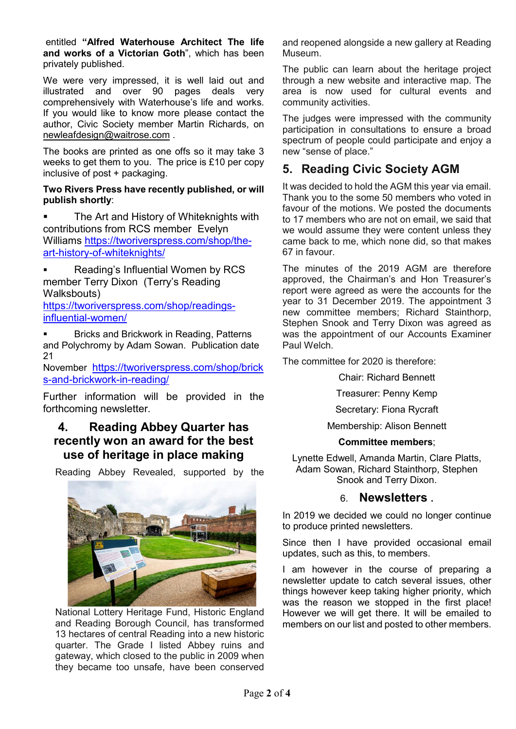entitled **"Alfred Waterhouse Architect The life and works of a Victorian Goth**", which has been privately published.

We were very impressed, it is well laid out and illustrated and over 90 pages deals very comprehensively with Waterhouse's life and works. If you would like to know more please contact the author, Civic Society member Martin Richards, on [newleafdesign@waitrose.com](mailto:newleafdesign@waitrose.com) .

The books are printed as one offs so it may take 3 weeks to get them to you. The price is £10 per copy inclusive of post + packaging.

#### **Two Rivers Press have recently published, or will publish shortly**:

 The Art and History of Whiteknights with contributions from RCS member Evelyn Williams [https://tworiverspress.com/shop/the](https://tworiverspress.com/shop/the-art-history-of-whiteknights/)[art-history-of-whiteknights/](https://tworiverspress.com/shop/the-art-history-of-whiteknights/)

 Reading's Influential Women by RCS member Terry Dixon (Terry's Reading Walksbouts)

[https://tworiverspress.com/shop/readings](https://tworiverspress.com/shop/readings-influential-women/)[influential-women/](https://tworiverspress.com/shop/readings-influential-women/)

 Bricks and Brickwork in Reading, Patterns and Polychromy by Adam Sowan. Publication date 21

November [https://tworiverspress.com/shop/brick](https://tworiverspress.com/shop/bricks-and-brickwork-in-reading/) [s-and-brickwork-in-reading/](https://tworiverspress.com/shop/bricks-and-brickwork-in-reading/)

Further information will be provided in the forthcoming newsletter.

# **4. Reading Abbey Quarter has recently won an award for the best use of heritage in place making**

Reading Abbey Revealed, supported by the



National Lottery Heritage Fund, Historic England and Reading Borough Council, has transformed 13 hectares of central Reading into a new historic quarter. The Grade I listed Abbey ruins and gateway, which closed to the public in 2009 when they became too unsafe, have been conserved and reopened alongside a new gallery at Reading Museum.

The public can learn about the heritage project through a new website and interactive map. The area is now used for cultural events and community activities.

The judges were impressed with the community participation in consultations to ensure a broad spectrum of people could participate and enjoy a new "sense of place."

# **5. Reading Civic Society AGM**

It was decided to hold the AGM this year via email. Thank you to the some 50 members who voted in favour of the motions. We posted the documents to 17 members who are not on email, we said that we would assume they were content unless they came back to me, which none did, so that makes 67 in favour.

The minutes of the 2019 AGM are therefore approved, the Chairman's and Hon Treasurer's report were agreed as were the accounts for the year to 31 December 2019. The appointment 3 new committee members; Richard Stainthorp, Stephen Snook and Terry Dixon was agreed as was the appointment of our Accounts Examiner Paul Welch.

The committee for 2020 is therefore:

Chair: Richard Bennett

Treasurer: Penny Kemp

Secretary: Fiona Rycraft

Membership: Alison Bennett

#### **Committee members**;

Lynette Edwell, Amanda Martin, Clare Platts, Adam Sowan, Richard Stainthorp, Stephen Snook and Terry Dixon.

#### 6. **Newsletters .**

In 2019 we decided we could no longer continue to produce printed newsletters.

Since then I have provided occasional email updates, such as this, to members.

I am however in the course of preparing a newsletter update to catch several issues, other things however keep taking higher priority, which was the reason we stopped in the first place! However we will get there. It will be emailed to members on our list and posted to other members.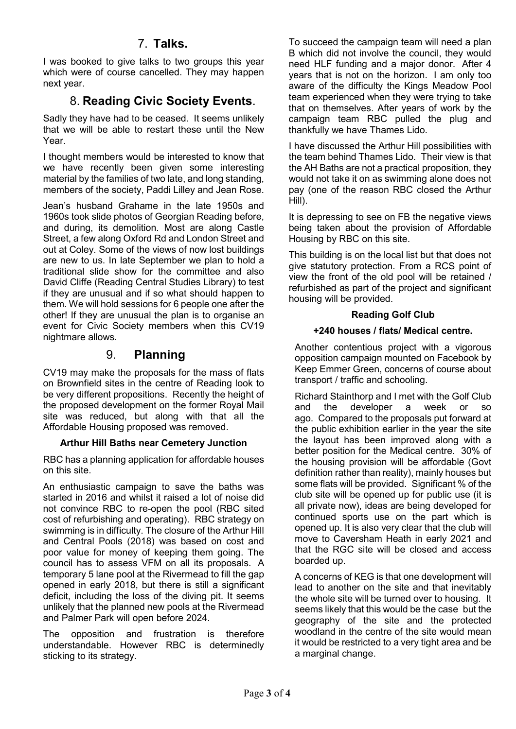# 7. **Talks.**

I was booked to give talks to two groups this year which were of course cancelled. They may happen next year.

# 8. **Reading Civic Society Events**.

Sadly they have had to be ceased. It seems unlikely that we will be able to restart these until the New Year.

I thought members would be interested to know that we have recently been given some interesting material by the families of two late, and long standing, members of the society, Paddi Lilley and Jean Rose.

Jean's husband Grahame in the late 1950s and 1960s took slide photos of Georgian Reading before, and during, its demolition. Most are along Castle Street, a few along Oxford Rd and London Street and out at Coley. Some of the views of now lost buildings are new to us. In late September we plan to hold a traditional slide show for the committee and also David Cliffe (Reading Central Studies Library) to test if they are unusual and if so what should happen to them. We will hold sessions for 6 people one after the other! If they are unusual the plan is to organise an event for Civic Society members when this CV19 nightmare allows.

# 9. **Planning**

CV19 may make the proposals for the mass of flats on Brownfield sites in the centre of Reading look to be very different propositions. Recently the height of the proposed development on the former Royal Mail site was reduced, but along with that all the Affordable Housing proposed was removed.

#### **Arthur Hill Baths near Cemetery Junction**

RBC has a planning application for affordable houses on this site.

An enthusiastic campaign to save the baths was started in 2016 and whilst it raised a lot of noise did not convince RBC to re-open the pool (RBC sited cost of refurbishing and operating). RBC strategy on swimming is in difficulty. The closure of the Arthur Hill and Central Pools (2018) was based on cost and poor value for money of keeping them going. The council has to assess VFM on all its proposals. A temporary 5 lane pool at the Rivermead to fill the gap opened in early 2018, but there is still a significant deficit, including the loss of the diving pit. It seems unlikely that the planned new pools at the Rivermead and Palmer Park will open before 2024.

The opposition and frustration is therefore understandable. However RBC is determinedly sticking to its strategy.

To succeed the campaign team will need a plan B which did not involve the council, they would need HLF funding and a major donor. After 4 years that is not on the horizon. I am only too aware of the difficulty the Kings Meadow Pool team experienced when they were trying to take that on themselves. After years of work by the campaign team RBC pulled the plug and thankfully we have Thames Lido.

I have discussed the Arthur Hill possibilities with the team behind Thames Lido. Their view is that the AH Baths are not a practical proposition, they would not take it on as swimming alone does not pay (one of the reason RBC closed the Arthur Hill).

It is depressing to see on FB the negative views being taken about the provision of Affordable Housing by RBC on this site.

This building is on the local list but that does not give statutory protection. From a RCS point of view the front of the old pool will be retained / refurbished as part of the project and significant housing will be provided.

#### **Reading Golf Club**

#### **+240 houses / flats/ Medical centre.**

Another contentious project with a vigorous opposition campaign mounted on Facebook by Keep Emmer Green, concerns of course about transport / traffic and schooling.

Richard Stainthorp and I met with the Golf Club and the developer a week or so ago. Compared to the proposals put forward at the public exhibition earlier in the year the site the layout has been improved along with a better position for the Medical centre. 30% of the housing provision will be affordable (Govt definition rather than reality), mainly houses but some flats will be provided. Significant % of the club site will be opened up for public use (it is all private now), ideas are being developed for continued sports use on the part which is opened up. It is also very clear that the club will move to Caversham Heath in early 2021 and that the RGC site will be closed and access boarded up.

A concerns of KEG is that one development will lead to another on the site and that inevitably the whole site will be turned over to housing. It seems likely that this would be the case but the geography of the site and the protected woodland in the centre of the site would mean it would be restricted to a very tight area and be a marginal change.